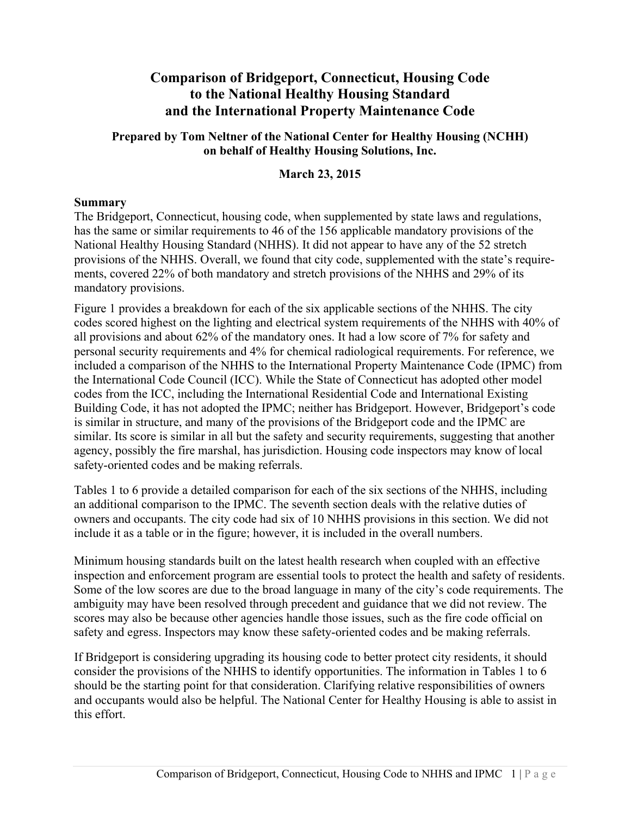# **Comparison of Bridgeport, Connecticut, Housing Code to the National Healthy Housing Standard and the International Property Maintenance Code**

#### **Prepared by Tom Neltner of the National Center for Healthy Housing (NCHH) on behalf of Healthy Housing Solutions, Inc.**

## **March 23, 2015**

## **Summary**

The Bridgeport, Connecticut, housing code, when supplemented by state laws and regulations, has the same or similar requirements to 46 of the 156 applicable mandatory provisions of the National Healthy Housing Standard (NHHS). It did not appear to have any of the 52 stretch provisions of the NHHS. Overall, we found that city code, supplemented with the state's requirements, covered 22% of both mandatory and stretch provisions of the NHHS and 29% of its mandatory provisions.

Figure 1 provides a breakdown for each of the six applicable sections of the NHHS. The city codes scored highest on the lighting and electrical system requirements of the NHHS with 40% of all provisions and about 62% of the mandatory ones. It had a low score of 7% for safety and personal security requirements and 4% for chemical radiological requirements. For reference, we included a comparison of the NHHS to the International Property Maintenance Code (IPMC) from the International Code Council (ICC). While the State of Connecticut has adopted other model codes from the ICC, including the International Residential Code and International Existing Building Code, it has not adopted the IPMC; neither has Bridgeport. However, Bridgeport's code is similar in structure, and many of the provisions of the Bridgeport code and the IPMC are similar. Its score is similar in all but the safety and security requirements, suggesting that another agency, possibly the fire marshal, has jurisdiction. Housing code inspectors may know of local safety-oriented codes and be making referrals.

Tables 1 to 6 provide a detailed comparison for each of the six sections of the NHHS, including an additional comparison to the IPMC. The seventh section deals with the relative duties of owners and occupants. The city code had six of 10 NHHS provisions in this section. We did not include it as a table or in the figure; however, it is included in the overall numbers.

Minimum housing standards built on the latest health research when coupled with an effective inspection and enforcement program are essential tools to protect the health and safety of residents. Some of the low scores are due to the broad language in many of the city's code requirements. The ambiguity may have been resolved through precedent and guidance that we did not review. The scores may also be because other agencies handle those issues, such as the fire code official on safety and egress. Inspectors may know these safety-oriented codes and be making referrals.

If Bridgeport is considering upgrading its housing code to better protect city residents, it should consider the provisions of the NHHS to identify opportunities. The information in Tables 1 to 6 should be the starting point for that consideration. Clarifying relative responsibilities of owners and occupants would also be helpful. The National Center for Healthy Housing is able to assist in this effort.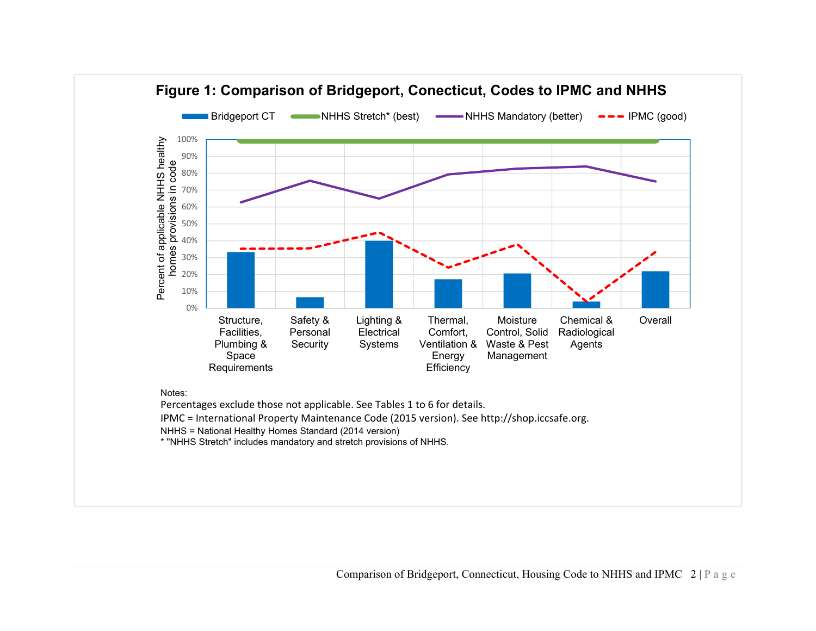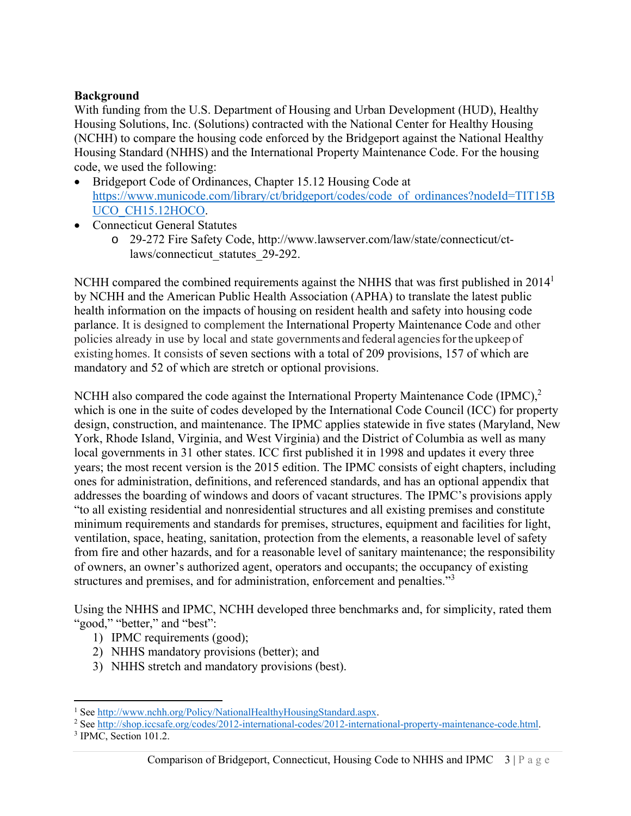# **Background**

With funding from the U.S. Department of Housing and Urban Development (HUD), Healthy Housing Solutions, Inc. (Solutions) contracted with the National Center for Healthy Housing (NCHH) to compare the housing code enforced by the Bridgeport against the National Healthy Housing Standard (NHHS) and the International Property Maintenance Code. For the housing code, we used the following:

- Bridgeport Code of Ordinances, Chapter 15.12 Housing Code at https://www.municode.com/library/ct/bridgeport/codes/code\_of\_ordinances?nodeId=TIT15B UCO\_CH15.12HOCO.
- Connecticut General Statutes
	- o 29-272 Fire Safety Code, http://www.lawserver.com/law/state/connecticut/ctlaws/connecticut\_statutes\_29-292.

NCHH compared the combined requirements against the NHHS that was first published in 2014<sup>1</sup> by NCHH and the American Public Health Association (APHA) to translate the latest public health information on the impacts of housing on resident health and safety into housing code parlance. It is designed to complement the International Property Maintenance Code and other policies already in use by local and state governments and federal agencies for the upkeep of existing homes. It consists of seven sections with a total of 209 provisions, 157 of which are mandatory and 52 of which are stretch or optional provisions.

NCHH also compared the code against the International Property Maintenance Code  $(IPMC)$ ,<sup>2</sup> which is one in the suite of codes developed by the International Code Council (ICC) for property design, construction, and maintenance. The IPMC applies statewide in five states (Maryland, New York, Rhode Island, Virginia, and West Virginia) and the District of Columbia as well as many local governments in 31 other states. ICC first published it in 1998 and updates it every three years; the most recent version is the 2015 edition. The IPMC consists of eight chapters, including ones for administration, definitions, and referenced standards, and has an optional appendix that addresses the boarding of windows and doors of vacant structures. The IPMC's provisions apply "to all existing residential and nonresidential structures and all existing premises and constitute minimum requirements and standards for premises, structures, equipment and facilities for light, ventilation, space, heating, sanitation, protection from the elements, a reasonable level of safety from fire and other hazards, and for a reasonable level of sanitary maintenance; the responsibility of owners, an owner's authorized agent, operators and occupants; the occupancy of existing structures and premises, and for administration, enforcement and penalties."<sup>3</sup>

Using the NHHS and IPMC, NCHH developed three benchmarks and, for simplicity, rated them "good," "better," and "best":

- 1) IPMC requirements (good);
- 2) NHHS mandatory provisions (better); and
- 3) NHHS stretch and mandatory provisions (best).

<sup>&</sup>lt;sup>1</sup> See http://www.nchh.org/Policy/NationalHealthyHousingStandard.aspx.<br><sup>2</sup> See http://shop.iccsafe.org/codes/2012-international-codes/2012-internati

<sup>&</sup>lt;sup>2</sup> See http://shop.iccsafe.org/codes/2012-international-codes/2012-international-property-maintenance-code.html.

<sup>&</sup>lt;sup>3</sup> IPMC, Section 101.2.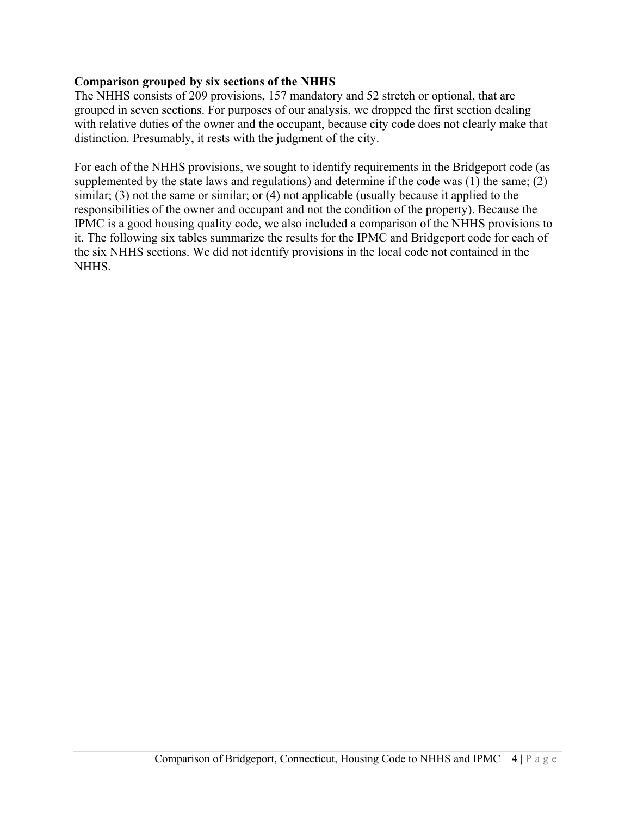## **Comparison grouped by six sections of the NHHS**

The NHHS consists of 209 provisions, 157 mandatory and 52 stretch or optional, that are grouped in seven sections. For purposes of our analysis, we dropped the first section dealing with relative duties of the owner and the occupant, because city code does not clearly make that distinction. Presumably, it rests with the judgment of the city.

For each of the NHHS provisions, we sought to identify requirements in the Bridgeport code (as supplemented by the state laws and regulations) and determine if the code was (1) the same; (2) similar; (3) not the same or similar; or (4) not applicable (usually because it applied to the responsibilities of the owner and occupant and not the condition of the property). Because the IPMC is a good housing quality code, we also included a comparison of the NHHS provisions to it. The following six tables summarize the results for the IPMC and Bridgeport code for each of the six NHHS sections. We did not identify provisions in the local code not contained in the NHHS.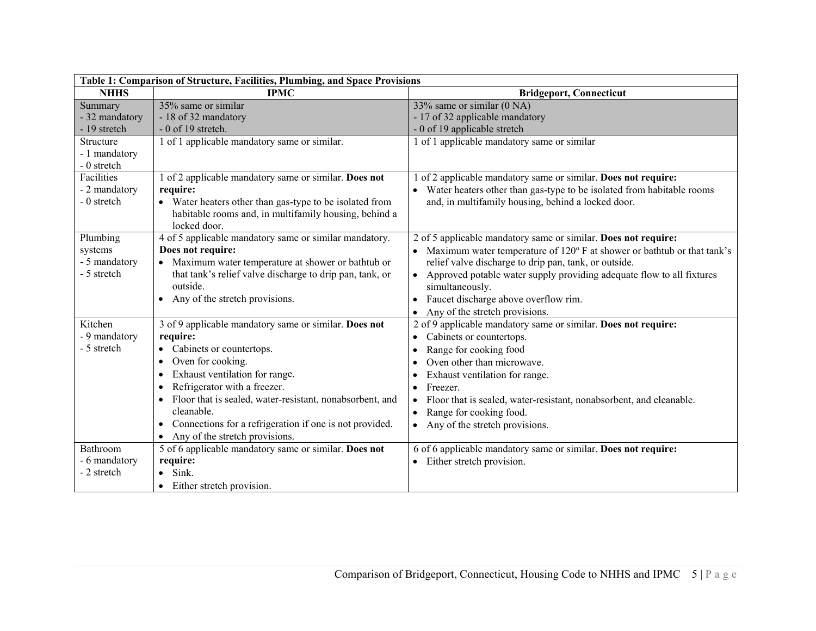| Table 1: Comparison of Structure, Facilities, Plumbing, and Space Provisions |                                                                                                                                                                                                                                                                                                                                                                                           |                                                                                                                                                                                                                                                                                                                                                                                                                 |
|------------------------------------------------------------------------------|-------------------------------------------------------------------------------------------------------------------------------------------------------------------------------------------------------------------------------------------------------------------------------------------------------------------------------------------------------------------------------------------|-----------------------------------------------------------------------------------------------------------------------------------------------------------------------------------------------------------------------------------------------------------------------------------------------------------------------------------------------------------------------------------------------------------------|
| <b>NHHS</b>                                                                  | <b>IPMC</b>                                                                                                                                                                                                                                                                                                                                                                               | <b>Bridgeport, Connecticut</b>                                                                                                                                                                                                                                                                                                                                                                                  |
| Summary<br>- 32 mandatory<br>- 19 stretch                                    | $35\%$ same or similar<br>- 18 of 32 mandatory<br>$-0$ of 19 stretch.                                                                                                                                                                                                                                                                                                                     | 33% same or similar (0 NA)<br>- 17 of 32 applicable mandatory<br>- 0 of 19 applicable stretch                                                                                                                                                                                                                                                                                                                   |
| Structure<br>- 1 mandatory<br>- 0 stretch                                    | 1 of 1 applicable mandatory same or similar.                                                                                                                                                                                                                                                                                                                                              | 1 of 1 applicable mandatory same or similar                                                                                                                                                                                                                                                                                                                                                                     |
| Facilities<br>- 2 mandatory<br>- 0 stretch                                   | 1 of 2 applicable mandatory same or similar. Does not<br>require:<br>• Water heaters other than gas-type to be isolated from<br>habitable rooms and, in multifamily housing, behind a<br>locked door.                                                                                                                                                                                     | of 2 applicable mandatory same or similar. Does not require:<br>Water heaters other than gas-type to be isolated from habitable rooms<br>and, in multifamily housing, behind a locked door.                                                                                                                                                                                                                     |
| Plumbing<br>systems<br>- 5 mandatory<br>- 5 stretch                          | 4 of 5 applicable mandatory same or similar mandatory.<br>Does not require:<br>• Maximum water temperature at shower or bathtub or<br>that tank's relief valve discharge to drip pan, tank, or<br>outside.<br>Any of the stretch provisions.<br>$\bullet$                                                                                                                                 | 2 of 5 applicable mandatory same or similar. Does not require:<br>Maximum water temperature of 120° F at shower or bathtub or that tank's<br>relief valve discharge to drip pan, tank, or outside.<br>Approved potable water supply providing adequate flow to all fixtures<br>simultaneously.<br>Faucet discharge above overflow rim.<br>Any of the stretch provisions.<br>$\bullet$                           |
| Kitchen<br>- 9 mandatory<br>- 5 stretch                                      | 3 of 9 applicable mandatory same or similar. Does not<br>require:<br>Cabinets or countertops.<br>Oven for cooking.<br>Exhaust ventilation for range.<br>$\bullet$<br>Refrigerator with a freezer.<br>$\bullet$<br>Floor that is sealed, water-resistant, nonabsorbent, and<br>cleanable.<br>• Connections for a refrigeration if one is not provided.<br>• Any of the stretch provisions. | 2 of 9 applicable mandatory same or similar. Does not require:<br>Cabinets or countertops.<br>$\bullet$<br>Range for cooking food<br>٠<br>Oven other than microwave.<br>Exhaust ventilation for range.<br>٠<br>Freezer.<br>$\bullet$<br>Floor that is sealed, water-resistant, nonabsorbent, and cleanable.<br>$\bullet$<br>Range for cooking food.<br>$\bullet$<br>Any of the stretch provisions.<br>$\bullet$ |
| Bathroom<br>- 6 mandatory<br>- 2 stretch                                     | 5 of 6 applicable mandatory same or similar. Does not<br>require:<br>Sink.<br>• Either stretch provision.                                                                                                                                                                                                                                                                                 | 6 of 6 applicable mandatory same or similar. Does not require:<br>Either stretch provision.<br>$\bullet$                                                                                                                                                                                                                                                                                                        |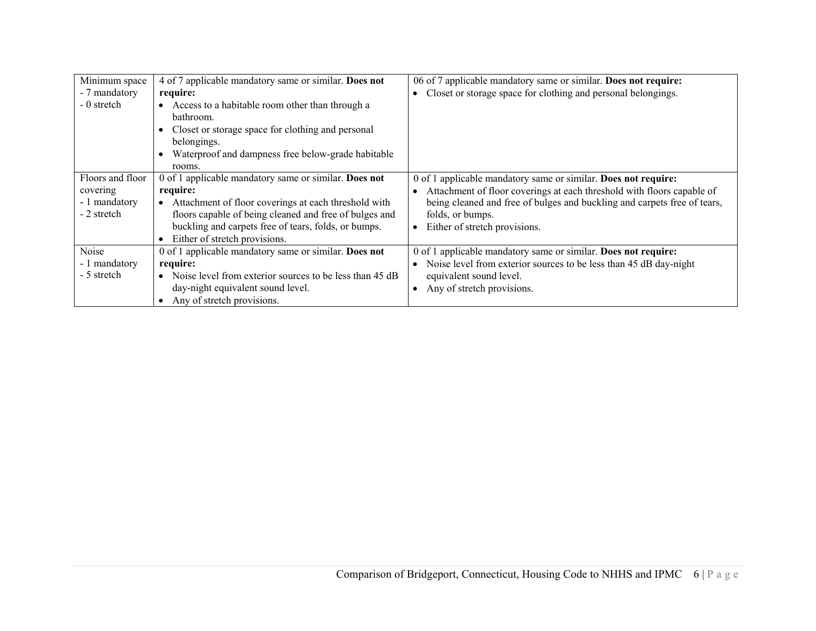| Minimum space<br>- 7 mandatory<br>- 0 stretch                | 4 of 7 applicable mandatory same or similar. Does not<br>require:<br>Access to a habitable room other than through a<br>bathroom.<br>Closet or storage space for clothing and personal<br>belongings.<br>Waterproof and dampness free below-grade habitable<br>rooms.        | 06 of 7 applicable mandatory same or similar. Does not require:<br>Closet or storage space for clothing and personal belongings.                                                                                                                                          |
|--------------------------------------------------------------|------------------------------------------------------------------------------------------------------------------------------------------------------------------------------------------------------------------------------------------------------------------------------|---------------------------------------------------------------------------------------------------------------------------------------------------------------------------------------------------------------------------------------------------------------------------|
| Floors and floor<br>covering<br>- 1 mandatory<br>- 2 stretch | 0 of 1 applicable mandatory same or similar. Does not<br>require:<br>Attachment of floor coverings at each threshold with<br>floors capable of being cleaned and free of bulges and<br>buckling and carpets free of tears, folds, or bumps.<br>Either of stretch provisions. | 0 of 1 applicable mandatory same or similar. Does not require:<br>Attachment of floor coverings at each threshold with floors capable of<br>being cleaned and free of bulges and buckling and carpets free of tears,<br>folds, or bumps.<br>Either of stretch provisions. |
| Noise<br>- 1 mandatory<br>- 5 stretch                        | 0 of 1 applicable mandatory same or similar. Does not<br>require:<br>Noise level from exterior sources to be less than 45 dB<br>$\bullet$<br>day-night equivalent sound level.<br>Any of stretch provisions.                                                                 | 0 of 1 applicable mandatory same or similar. Does not require:<br>Noise level from exterior sources to be less than 45 dB day-night<br>equivalent sound level.<br>Any of stretch provisions.                                                                              |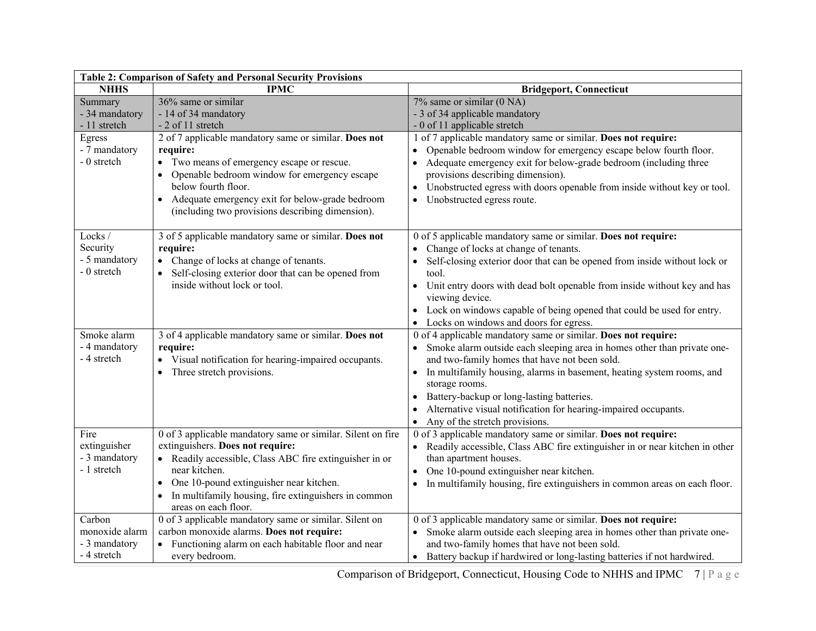| Table 2: Comparison of Safety and Personal Security Provisions                      |                                                                                                                                                                                                                                                                                                        |                                                                                                                                                                                                                                                                                                          |  |
|-------------------------------------------------------------------------------------|--------------------------------------------------------------------------------------------------------------------------------------------------------------------------------------------------------------------------------------------------------------------------------------------------------|----------------------------------------------------------------------------------------------------------------------------------------------------------------------------------------------------------------------------------------------------------------------------------------------------------|--|
| <b>NHHS</b>                                                                         | <b>IPMC</b>                                                                                                                                                                                                                                                                                            | <b>Bridgeport, Connecticut</b>                                                                                                                                                                                                                                                                           |  |
| Summary<br>- 34 mandatory<br>- 11 stretch<br>Egress<br>- 7 mandatory<br>- 0 stretch | 36% same or similar<br>- 14 of 34 mandatory<br>- 2 of 11 stretch<br>2 of 7 applicable mandatory same or similar. Does not<br>require:<br>• Two means of emergency escape or rescue.                                                                                                                    | $7\%$ same or similar (0 NA)<br>- 3 of 34 applicable mandatory<br>- 0 of 11 applicable stretch<br>1 of 7 applicable mandatory same or similar. Does not require:<br>Openable bedroom window for emergency escape below fourth floor.<br>Adequate emergency exit for below-grade bedroom (including three |  |
|                                                                                     | Openable bedroom window for emergency escape<br>below fourth floor.<br>Adequate emergency exit for below-grade bedroom<br>$\bullet$<br>(including two provisions describing dimension).                                                                                                                | provisions describing dimension).<br>Unobstructed egress with doors openable from inside without key or tool.<br>Unobstructed egress route.<br>$\bullet$                                                                                                                                                 |  |
| Locks/<br>Security                                                                  | 3 of 5 applicable mandatory same or similar. Does not                                                                                                                                                                                                                                                  | 0 of 5 applicable mandatory same or similar. Does not require:                                                                                                                                                                                                                                           |  |
| - 5 mandatory<br>- 0 stretch                                                        | require:<br>• Change of locks at change of tenants.<br>• Self-closing exterior door that can be opened from                                                                                                                                                                                            | Change of locks at change of tenants.<br>Self-closing exterior door that can be opened from inside without lock or<br>tool.                                                                                                                                                                              |  |
|                                                                                     | inside without lock or tool.                                                                                                                                                                                                                                                                           | Unit entry doors with dead bolt openable from inside without key and has<br>viewing device.<br>Lock on windows capable of being opened that could be used for entry.                                                                                                                                     |  |
|                                                                                     |                                                                                                                                                                                                                                                                                                        | Locks on windows and doors for egress.                                                                                                                                                                                                                                                                   |  |
| Smoke alarm<br>- 4 mandatory<br>- 4 stretch                                         | 3 of 4 applicable mandatory same or similar. Does not<br>require:<br>• Visual notification for hearing-impaired occupants.                                                                                                                                                                             | 0 of 4 applicable mandatory same or similar. Does not require:<br>Smoke alarm outside each sleeping area in homes other than private one-<br>and two-family homes that have not been sold.                                                                                                               |  |
|                                                                                     | • Three stretch provisions.                                                                                                                                                                                                                                                                            | In multifamily housing, alarms in basement, heating system rooms, and<br>$\bullet$<br>storage rooms.                                                                                                                                                                                                     |  |
|                                                                                     |                                                                                                                                                                                                                                                                                                        | Battery-backup or long-lasting batteries.                                                                                                                                                                                                                                                                |  |
|                                                                                     |                                                                                                                                                                                                                                                                                                        | Alternative visual notification for hearing-impaired occupants.<br>Any of the stretch provisions.                                                                                                                                                                                                        |  |
| Fire<br>extinguisher<br>- 3 mandatory<br>- 1 stretch                                | 0 of 3 applicable mandatory same or similar. Silent on fire<br>extinguishers. Does not require:<br>• Readily accessible, Class ABC fire extinguisher in or<br>near kitchen.<br>One 10-pound extinguisher near kitchen.<br>In multifamily housing, fire extinguishers in common<br>areas on each floor. | 0 of 3 applicable mandatory same or similar. Does not require:<br>Readily accessible, Class ABC fire extinguisher in or near kitchen in other<br>than apartment houses.<br>One 10-pound extinguisher near kitchen.<br>In multifamily housing, fire extinguishers in common areas on each floor.          |  |
| Carbon<br>monoxide alarm                                                            | 0 of 3 applicable mandatory same or similar. Silent on<br>carbon monoxide alarms. Does not require:                                                                                                                                                                                                    | 0 of 3 applicable mandatory same or similar. Does not require:<br>• Smoke alarm outside each sleeping area in homes other than private one-                                                                                                                                                              |  |
| - 3 mandatory                                                                       | Functioning alarm on each habitable floor and near                                                                                                                                                                                                                                                     | and two-family homes that have not been sold.                                                                                                                                                                                                                                                            |  |
| - 4 stretch                                                                         | every bedroom.                                                                                                                                                                                                                                                                                         | • Battery backup if hardwired or long-lasting batteries if not hardwired.                                                                                                                                                                                                                                |  |

Comparison of Bridgeport, Connecticut, Housing Code to NHHS and IPMC 7 | Page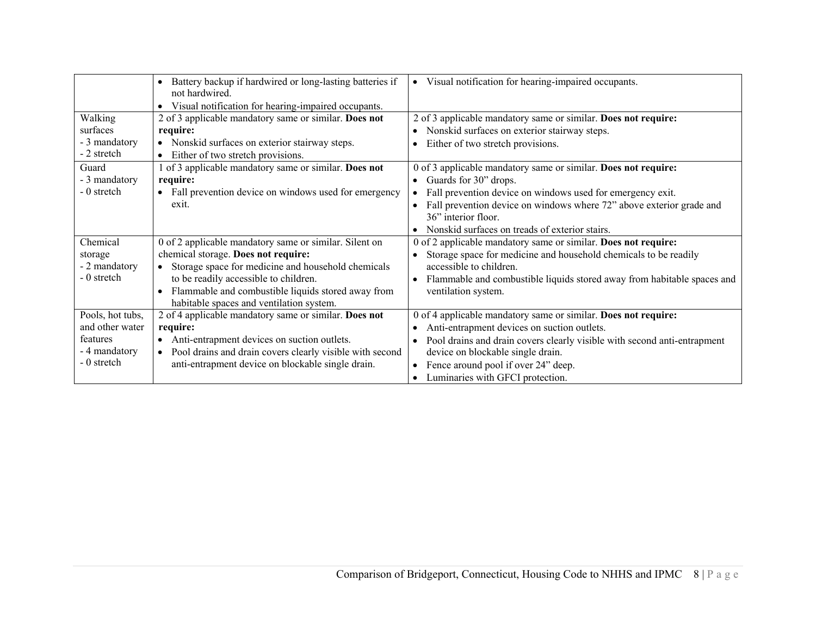|                  | Battery backup if hardwired or long-lasting batteries if<br>not hardwired. | • Visual notification for hearing-impaired occupants.                    |
|------------------|----------------------------------------------------------------------------|--------------------------------------------------------------------------|
|                  | Visual notification for hearing-impaired occupants.<br>$\bullet$           |                                                                          |
| Walking          | 2 of 3 applicable mandatory same or similar. Does not                      | 2 of 3 applicable mandatory same or similar. Does not require:           |
| surfaces         | require:                                                                   | Nonskid surfaces on exterior stairway steps.                             |
| - 3 mandatory    | Nonskid surfaces on exterior stairway steps.<br>$\bullet$                  | Either of two stretch provisions.                                        |
| - 2 stretch      | Either of two stretch provisions.<br>$\bullet$                             |                                                                          |
| Guard            | 1 of 3 applicable mandatory same or similar. Does not                      | 0 of 3 applicable mandatory same or similar. Does not require:           |
| - 3 mandatory    | require:                                                                   | Guards for 30" drops.                                                    |
| - 0 stretch      | Fall prevention device on windows used for emergency<br>$\bullet$          | • Fall prevention device on windows used for emergency exit.             |
|                  | exit.                                                                      | Fall prevention device on windows where 72" above exterior grade and     |
|                  |                                                                            | 36" interior floor.                                                      |
|                  |                                                                            | Nonskid surfaces on treads of exterior stairs.                           |
| Chemical         | 0 of 2 applicable mandatory same or similar. Silent on                     | 0 of 2 applicable mandatory same or similar. Does not require:           |
| storage          | chemical storage. Does not require:                                        | Storage space for medicine and household chemicals to be readily         |
| - 2 mandatory    | Storage space for medicine and household chemicals                         | accessible to children.                                                  |
| - 0 stretch      | to be readily accessible to children.                                      | Flammable and combustible liquids stored away from habitable spaces and  |
|                  | Flammable and combustible liquids stored away from<br>$\bullet$            | ventilation system.                                                      |
|                  | habitable spaces and ventilation system.                                   |                                                                          |
| Pools, hot tubs, | 2 of 4 applicable mandatory same or similar. Does not                      | 0 of 4 applicable mandatory same or similar. Does not require:           |
| and other water  | require:                                                                   | Anti-entrapment devices on suction outlets.                              |
| features         | Anti-entrapment devices on suction outlets.<br>$\bullet$                   | Pool drains and drain covers clearly visible with second anti-entrapment |
| - 4 mandatory    | Pool drains and drain covers clearly visible with second<br>$\bullet$      | device on blockable single drain.                                        |
| - 0 stretch      | anti-entrapment device on blockable single drain.                          | Fence around pool if over 24" deep.                                      |
|                  |                                                                            | Luminaries with GFCI protection.                                         |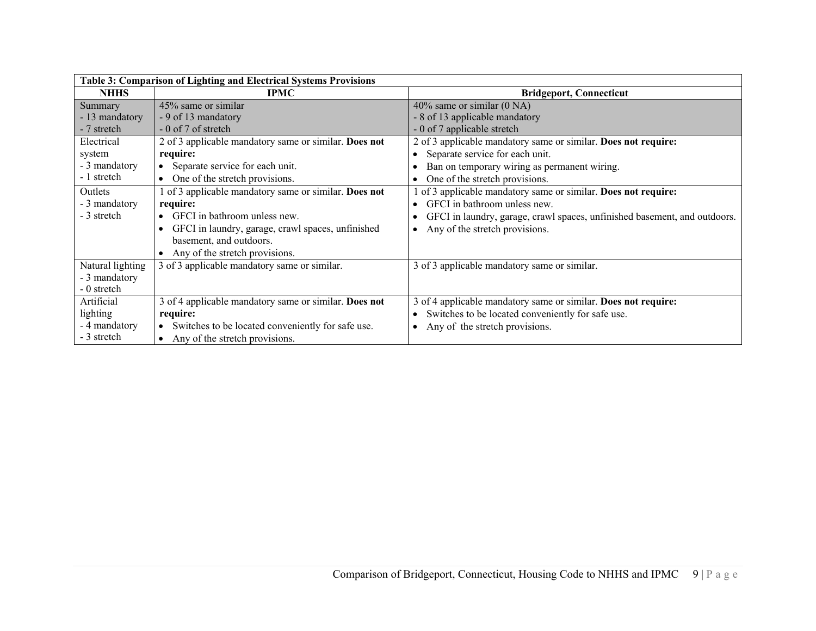| Table 3: Comparison of Lighting and Electrical Systems Provisions |                                                       |                                                                           |
|-------------------------------------------------------------------|-------------------------------------------------------|---------------------------------------------------------------------------|
| <b>NHHS</b>                                                       | <b>IPMC</b>                                           | <b>Bridgeport, Connecticut</b>                                            |
| Summary                                                           | 45% same or similar                                   | $40\%$ same or similar (0 NA)                                             |
| - 13 mandatory                                                    | - 9 of 13 mandatory                                   | - 8 of 13 applicable mandatory                                            |
| - 7 stretch                                                       | - 0 of 7 of stretch                                   | - 0 of 7 applicable stretch                                               |
| Electrical                                                        | 2 of 3 applicable mandatory same or similar. Does not | 2 of 3 applicable mandatory same or similar. Does not require:            |
| system                                                            | require:                                              | Separate service for each unit.                                           |
| - 3 mandatory                                                     | Separate service for each unit.                       | Ban on temporary wiring as permanent wiring.                              |
| - 1 stretch                                                       | • One of the stretch provisions.                      | One of the stretch provisions.                                            |
| Outlets                                                           | 1 of 3 applicable mandatory same or similar. Does not | of 3 applicable mandatory same or similar. Does not require:              |
| - 3 mandatory                                                     | require:                                              | GFCI in bathroom unless new.<br>$\bullet$                                 |
| - 3 stretch                                                       | GFCI in bathroom unless new.                          | GFCI in laundry, garage, crawl spaces, unfinished basement, and outdoors. |
|                                                                   | GFCI in laundry, garage, crawl spaces, unfinished     | Any of the stretch provisions.<br>$\bullet$                               |
|                                                                   | basement, and outdoors.                               |                                                                           |
|                                                                   | Any of the stretch provisions.                        |                                                                           |
| Natural lighting                                                  | 3 of 3 applicable mandatory same or similar.          | 3 of 3 applicable mandatory same or similar.                              |
| - 3 mandatory                                                     |                                                       |                                                                           |
| - 0 stretch                                                       |                                                       |                                                                           |
| Artificial                                                        | 3 of 4 applicable mandatory same or similar. Does not | 3 of 4 applicable mandatory same or similar. Does not require:            |
| lighting                                                          | require:                                              | Switches to be located conveniently for safe use.                         |
| - 4 mandatory                                                     | Switches to be located conveniently for safe use.     | Any of the stretch provisions.                                            |
| - 3 stretch                                                       | • Any of the stretch provisions.                      |                                                                           |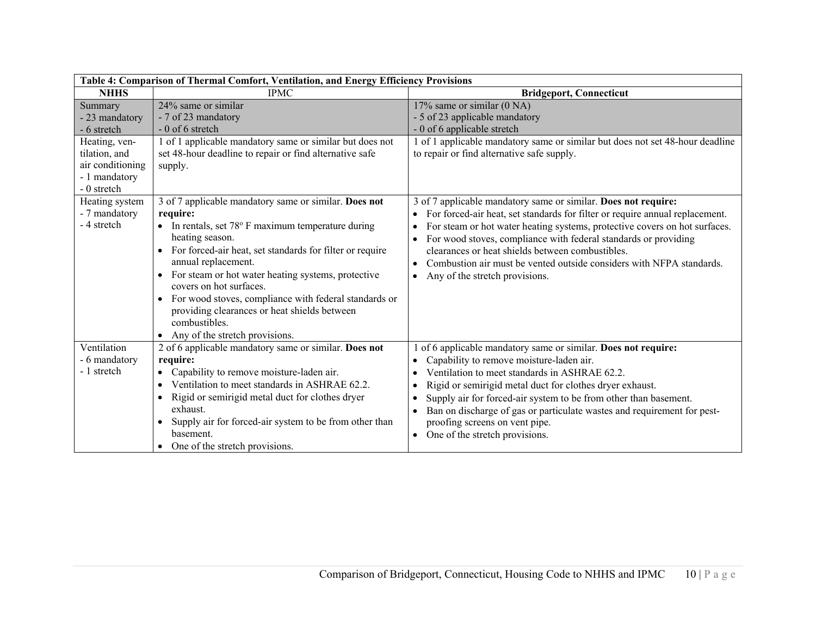| Table 4: Comparison of Thermal Comfort, Ventilation, and Energy Efficiency Provisions                                          |                                                                                                                                                                                                                                                                                                                                                                                                                                                                                                                            |                                                                                                                                                                                                                                                                                                                                                                                                                                                               |
|--------------------------------------------------------------------------------------------------------------------------------|----------------------------------------------------------------------------------------------------------------------------------------------------------------------------------------------------------------------------------------------------------------------------------------------------------------------------------------------------------------------------------------------------------------------------------------------------------------------------------------------------------------------------|---------------------------------------------------------------------------------------------------------------------------------------------------------------------------------------------------------------------------------------------------------------------------------------------------------------------------------------------------------------------------------------------------------------------------------------------------------------|
| <b>NHHS</b>                                                                                                                    | <b>IPMC</b>                                                                                                                                                                                                                                                                                                                                                                                                                                                                                                                | <b>Bridgeport, Connecticut</b>                                                                                                                                                                                                                                                                                                                                                                                                                                |
| Summary<br>- 23 mandatory<br>- 6 stretch<br>Heating, ven-<br>tilation, and<br>air conditioning<br>- 1 mandatory<br>- 0 stretch | 24% same or similar<br>- 7 of 23 mandatory<br>$-0$ of 6 stretch<br>1 of 1 applicable mandatory same or similar but does not<br>set 48-hour deadline to repair or find alternative safe<br>supply.                                                                                                                                                                                                                                                                                                                          | 17% same or similar (0 NA)<br>- 5 of 23 applicable mandatory<br>- 0 of 6 applicable stretch<br>1 of 1 applicable mandatory same or similar but does not set 48-hour deadline<br>to repair or find alternative safe supply.                                                                                                                                                                                                                                    |
| Heating system<br>- 7 mandatory<br>- 4 stretch                                                                                 | 3 of 7 applicable mandatory same or similar. Does not<br>require:<br>• In rentals, set $78^{\circ}$ F maximum temperature during<br>heating season.<br>For forced-air heat, set standards for filter or require<br>annual replacement.<br>For steam or hot water heating systems, protective<br>$\bullet$<br>covers on hot surfaces.<br>For wood stoves, compliance with federal standards or<br>$\bullet$<br>providing clearances or heat shields between<br>combustibles.<br>Any of the stretch provisions.<br>$\bullet$ | 3 of 7 applicable mandatory same or similar. Does not require:<br>For forced-air heat, set standards for filter or require annual replacement.<br>For steam or hot water heating systems, protective covers on hot surfaces.<br>For wood stoves, compliance with federal standards or providing<br>clearances or heat shields between combustibles.<br>Combustion air must be vented outside considers with NFPA standards.<br>Any of the stretch provisions. |
| Ventilation<br>- 6 mandatory<br>- 1 stretch                                                                                    | 2 of 6 applicable mandatory same or similar. Does not<br>require:<br>Capability to remove moisture-laden air.<br>$\bullet$<br>Ventilation to meet standards in ASHRAE 62.2.<br>Rigid or semirigid metal duct for clothes dryer<br>$\bullet$<br>exhaust.<br>Supply air for forced-air system to be from other than<br>$\bullet$<br>basement.<br>One of the stretch provisions.                                                                                                                                              | 1 of 6 applicable mandatory same or similar. Does not require:<br>Capability to remove moisture-laden air.<br>Ventilation to meet standards in ASHRAE 62.2.<br>Rigid or semirigid metal duct for clothes dryer exhaust.<br>Supply air for forced-air system to be from other than basement.<br>Ban on discharge of gas or particulate wastes and requirement for pest-<br>proofing screens on vent pipe.<br>One of the stretch provisions.<br>$\bullet$       |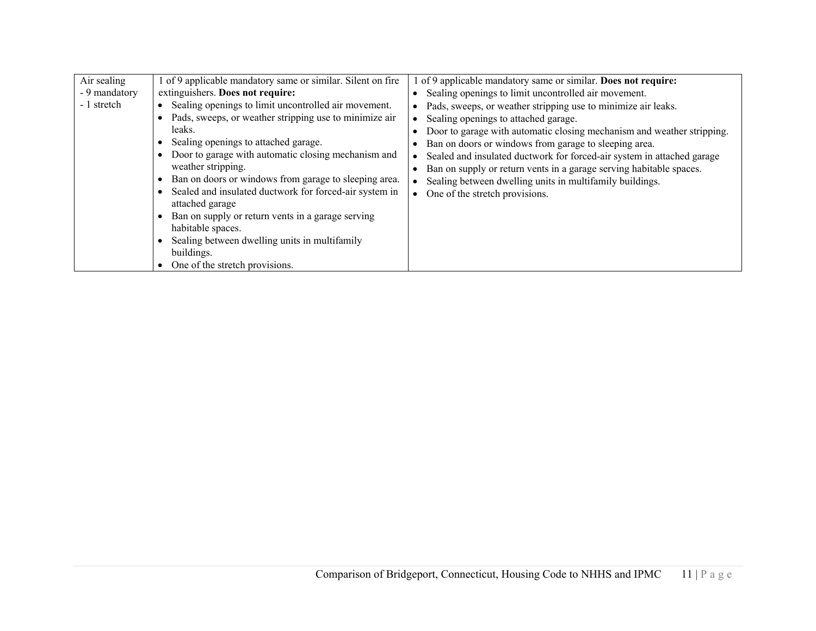| Air sealing<br>- 9 mandatory<br>- 1 stretch | of 9 applicable mandatory same or similar. Silent on fire<br>extinguishers. Does not require:<br>Sealing openings to limit uncontrolled air movement.<br>Pads, sweeps, or weather stripping use to minimize air<br>leaks.<br>Sealing openings to attached garage.<br>Door to garage with automatic closing mechanism and<br>weather stripping.<br>Ban on doors or windows from garage to sleeping area.<br>Sealed and insulated ductwork for forced-air system in<br>attached garage<br>Ban on supply or return vents in a garage serving<br>habitable spaces.<br>Sealing between dwelling units in multifamily<br>buildings.<br>One of the stretch provisions. | of 9 applicable mandatory same or similar. Does not require:<br>Sealing openings to limit uncontrolled air movement.<br>Pads, sweeps, or weather stripping use to minimize air leaks.<br>Sealing openings to attached garage.<br>Door to garage with automatic closing mechanism and weather stripping.<br>Ban on doors or windows from garage to sleeping area.<br>Sealed and insulated ductwork for forced-air system in attached garage<br>Ban on supply or return vents in a garage serving habitable spaces.<br>Sealing between dwelling units in multifamily buildings.<br>One of the stretch provisions. |
|---------------------------------------------|-----------------------------------------------------------------------------------------------------------------------------------------------------------------------------------------------------------------------------------------------------------------------------------------------------------------------------------------------------------------------------------------------------------------------------------------------------------------------------------------------------------------------------------------------------------------------------------------------------------------------------------------------------------------|-----------------------------------------------------------------------------------------------------------------------------------------------------------------------------------------------------------------------------------------------------------------------------------------------------------------------------------------------------------------------------------------------------------------------------------------------------------------------------------------------------------------------------------------------------------------------------------------------------------------|
|---------------------------------------------|-----------------------------------------------------------------------------------------------------------------------------------------------------------------------------------------------------------------------------------------------------------------------------------------------------------------------------------------------------------------------------------------------------------------------------------------------------------------------------------------------------------------------------------------------------------------------------------------------------------------------------------------------------------------|-----------------------------------------------------------------------------------------------------------------------------------------------------------------------------------------------------------------------------------------------------------------------------------------------------------------------------------------------------------------------------------------------------------------------------------------------------------------------------------------------------------------------------------------------------------------------------------------------------------------|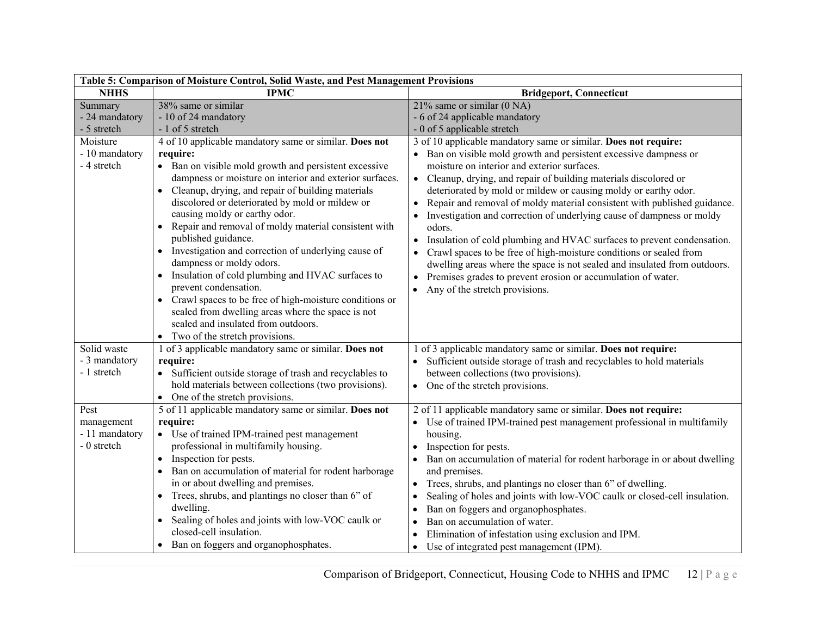| Table 5: Comparison of Moisture Control, Solid Waste, and Pest Management Provisions |                                                                                                                                                                                                                                                                                                                                                                                                                                                                                                                                                                                                                                                                                                                                                                                                      |                                                                                                                                                                                                                                                                                                                                                                                                                                                                                                                                                                                                                                                                                                                                                                                                                                                                  |  |
|--------------------------------------------------------------------------------------|------------------------------------------------------------------------------------------------------------------------------------------------------------------------------------------------------------------------------------------------------------------------------------------------------------------------------------------------------------------------------------------------------------------------------------------------------------------------------------------------------------------------------------------------------------------------------------------------------------------------------------------------------------------------------------------------------------------------------------------------------------------------------------------------------|------------------------------------------------------------------------------------------------------------------------------------------------------------------------------------------------------------------------------------------------------------------------------------------------------------------------------------------------------------------------------------------------------------------------------------------------------------------------------------------------------------------------------------------------------------------------------------------------------------------------------------------------------------------------------------------------------------------------------------------------------------------------------------------------------------------------------------------------------------------|--|
| <b>NHHS</b>                                                                          | <b>IPMC</b>                                                                                                                                                                                                                                                                                                                                                                                                                                                                                                                                                                                                                                                                                                                                                                                          | <b>Bridgeport, Connecticut</b>                                                                                                                                                                                                                                                                                                                                                                                                                                                                                                                                                                                                                                                                                                                                                                                                                                   |  |
| Summary<br>- 24 mandatory<br>- 5 stretch                                             | 38% same or similar<br>- 10 of 24 mandatory<br>- 1 of 5 stretch                                                                                                                                                                                                                                                                                                                                                                                                                                                                                                                                                                                                                                                                                                                                      | $21\%$ same or similar (0 NA)<br>- 6 of 24 applicable mandatory<br>- 0 of 5 applicable stretch                                                                                                                                                                                                                                                                                                                                                                                                                                                                                                                                                                                                                                                                                                                                                                   |  |
| Moisture<br>- 10 mandatory<br>- 4 stretch                                            | 4 of 10 applicable mandatory same or similar. Does not<br>require:<br>• Ban on visible mold growth and persistent excessive<br>dampness or moisture on interior and exterior surfaces.<br>Cleanup, drying, and repair of building materials<br>discolored or deteriorated by mold or mildew or<br>causing moldy or earthy odor.<br>Repair and removal of moldy material consistent with<br>$\bullet$<br>published guidance.<br>• Investigation and correction of underlying cause of<br>dampness or moldy odors.<br>Insulation of cold plumbing and HVAC surfaces to<br>$\bullet$<br>prevent condensation.<br>Crawl spaces to be free of high-moisture conditions or<br>sealed from dwelling areas where the space is not<br>sealed and insulated from outdoors.<br>• Two of the stretch provisions. | 3 of 10 applicable mandatory same or similar. Does not require:<br>• Ban on visible mold growth and persistent excessive dampness or<br>moisture on interior and exterior surfaces.<br>• Cleanup, drying, and repair of building materials discolored or<br>deteriorated by mold or mildew or causing moldy or earthy odor.<br>Repair and removal of moldy material consistent with published guidance.<br>Investigation and correction of underlying cause of dampness or moldy<br>odors.<br>Insulation of cold plumbing and HVAC surfaces to prevent condensation.<br>$\bullet$<br>Crawl spaces to be free of high-moisture conditions or sealed from<br>$\bullet$<br>dwelling areas where the space is not sealed and insulated from outdoors.<br>Premises grades to prevent erosion or accumulation of water.<br>$\bullet$<br>Any of the stretch provisions. |  |
| Solid waste<br>- 3 mandatory<br>- 1 stretch                                          | 1 of 3 applicable mandatory same or similar. Does not<br>require:<br>• Sufficient outside storage of trash and recyclables to<br>hold materials between collections (two provisions).<br>• One of the stretch provisions.                                                                                                                                                                                                                                                                                                                                                                                                                                                                                                                                                                            | 1 of 3 applicable mandatory same or similar. Does not require:<br>Sufficient outside storage of trash and recyclables to hold materials<br>between collections (two provisions).<br>• One of the stretch provisions.                                                                                                                                                                                                                                                                                                                                                                                                                                                                                                                                                                                                                                             |  |
| Pest<br>management<br>- 11 mandatory<br>- 0 stretch                                  | 5 of 11 applicable mandatory same or similar. Does not<br>require:<br>• Use of trained IPM-trained pest management<br>professional in multifamily housing.<br>Inspection for pests.<br>$\bullet$<br>Ban on accumulation of material for rodent harborage<br>$\bullet$<br>in or about dwelling and premises.<br>• Trees, shrubs, and plantings no closer than 6" of<br>dwelling.<br>Sealing of holes and joints with low-VOC caulk or<br>$\bullet$<br>closed-cell insulation.<br>Ban on foggers and organophosphates.                                                                                                                                                                                                                                                                                 | 2 of 11 applicable mandatory same or similar. Does not require:<br>• Use of trained IPM-trained pest management professional in multifamily<br>housing.<br>Inspection for pests.<br>Ban on accumulation of material for rodent harborage in or about dwelling<br>and premises.<br>Trees, shrubs, and plantings no closer than 6" of dwelling.<br>$\bullet$<br>Sealing of holes and joints with low-VOC caulk or closed-cell insulation.<br>$\bullet$<br>Ban on foggers and organophosphates.<br>Ban on accumulation of water.<br>$\bullet$<br>Elimination of infestation using exclusion and IPM.<br>Use of integrated pest management (IPM).<br>$\bullet$                                                                                                                                                                                                       |  |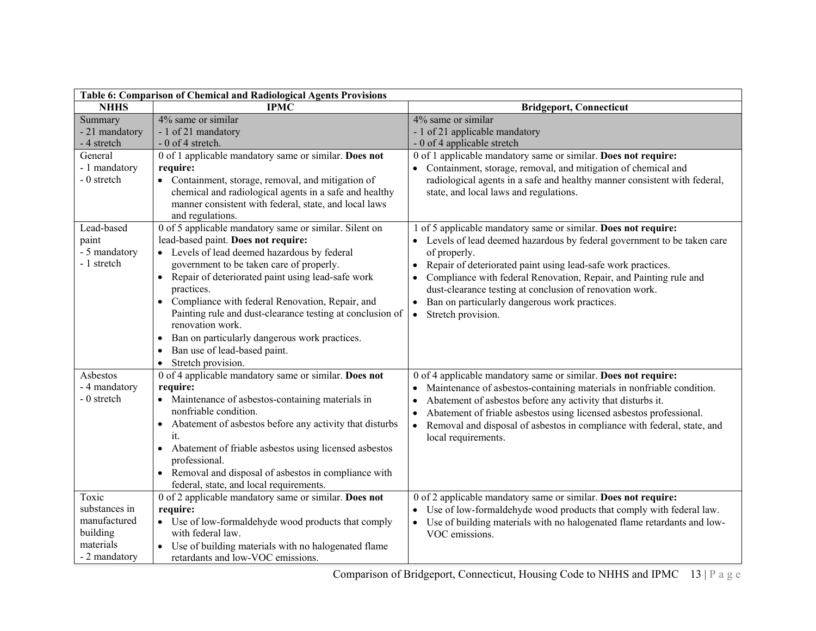| Table 6: Comparison of Chemical and Radiological Agents Provisions               |                                                                                                                                                                                                                                                                                                                                                                                                                                                                                                                                                                          |                                                                                                                                                                                                                                                                                                                                                                                                                                                 |  |
|----------------------------------------------------------------------------------|--------------------------------------------------------------------------------------------------------------------------------------------------------------------------------------------------------------------------------------------------------------------------------------------------------------------------------------------------------------------------------------------------------------------------------------------------------------------------------------------------------------------------------------------------------------------------|-------------------------------------------------------------------------------------------------------------------------------------------------------------------------------------------------------------------------------------------------------------------------------------------------------------------------------------------------------------------------------------------------------------------------------------------------|--|
| <b>NHHS</b>                                                                      | <b>IPMC</b>                                                                                                                                                                                                                                                                                                                                                                                                                                                                                                                                                              | <b>Bridgeport, Connecticut</b>                                                                                                                                                                                                                                                                                                                                                                                                                  |  |
| Summary<br>- 21 mandatory<br>- 4 stretch                                         | 4% same or similar<br>- 1 of 21 mandatory<br>- 0 of 4 stretch.                                                                                                                                                                                                                                                                                                                                                                                                                                                                                                           | 4% same or similar<br>- 1 of 21 applicable mandatory<br>- 0 of 4 applicable stretch                                                                                                                                                                                                                                                                                                                                                             |  |
| General<br>- 1 mandatory<br>- 0 stretch                                          | 0 of 1 applicable mandatory same or similar. Does not<br>require:<br>• Containment, storage, removal, and mitigation of<br>chemical and radiological agents in a safe and healthy<br>manner consistent with federal, state, and local laws<br>and regulations.                                                                                                                                                                                                                                                                                                           | 0 of 1 applicable mandatory same or similar. Does not require:<br>Containment, storage, removal, and mitigation of chemical and<br>radiological agents in a safe and healthy manner consistent with federal,<br>state, and local laws and regulations.                                                                                                                                                                                          |  |
| Lead-based<br>paint<br>- 5 mandatory<br>- 1 stretch                              | 0 of 5 applicable mandatory same or similar. Silent on<br>lead-based paint. Does not require:<br>• Levels of lead deemed hazardous by federal<br>government to be taken care of properly.<br>Repair of deteriorated paint using lead-safe work<br>$\bullet$<br>practices.<br>Compliance with federal Renovation, Repair, and<br>$\bullet$<br>Painting rule and dust-clearance testing at conclusion of<br>renovation work.<br>Ban on particularly dangerous work practices.<br>$\bullet$<br>Ban use of lead-based paint.<br>$\bullet$<br>Stretch provision.<br>$\bullet$ | 1 of 5 applicable mandatory same or similar. Does not require:<br>• Levels of lead deemed hazardous by federal government to be taken care<br>of properly.<br>Repair of deteriorated paint using lead-safe work practices.<br>Compliance with federal Renovation, Repair, and Painting rule and<br>dust-clearance testing at conclusion of renovation work.<br>Ban on particularly dangerous work practices.<br>Stretch provision.<br>$\bullet$ |  |
| Asbestos<br>- 4 mandatory<br>- 0 stretch                                         | 0 of 4 applicable mandatory same or similar. Does not<br>require:<br>Maintenance of asbestos-containing materials in<br>nonfriable condition.<br>Abatement of asbestos before any activity that disturbs<br>$\bullet$<br>it.<br>Abatement of friable asbestos using licensed asbestos<br>$\bullet$<br>professional.<br>• Removal and disposal of asbestos in compliance with<br>federal, state, and local requirements.                                                                                                                                                  | 0 of 4 applicable mandatory same or similar. Does not require:<br>Maintenance of asbestos-containing materials in nonfriable condition.<br>Abatement of asbestos before any activity that disturbs it.<br>Abatement of friable asbestos using licensed asbestos professional.<br>Removal and disposal of asbestos in compliance with federal, state, and<br>$\bullet$<br>local requirements.                                                    |  |
| Toxic<br>substances in<br>manufactured<br>building<br>materials<br>- 2 mandatory | 0 of 2 applicable mandatory same or similar. Does not<br>require:<br>• Use of low-formaldehyde wood products that comply<br>with federal law.<br>Use of building materials with no halogenated flame<br>retardants and low-VOC emissions.                                                                                                                                                                                                                                                                                                                                | 0 of 2 applicable mandatory same or similar. Does not require:<br>• Use of low-formaldehyde wood products that comply with federal law.<br>• Use of building materials with no halogenated flame retardants and low-<br>VOC emissions.                                                                                                                                                                                                          |  |

Comparison of Bridgeport, Connecticut, Housing Code to NHHS and IPMC 13 | P a g e